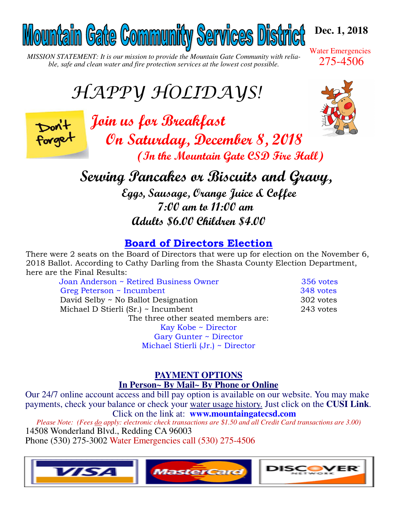# Mountain Gate Community Services District

*MISSION STATEMENT: It is our mission to provide the Mountain Gate Community with reliable, safe and clean water and fire protection services at the lowest cost possible.* 

# HAPPY HOLIDAYS!



*Join us for Breakfast* *On Saturday, December 8, 2018 (In the Mountain Gate CSD Fire Hall)*

 *Serving Pancakes or Biscuits and Gravy, Eggs, Sausage, Orange Juice & Coffee 7:00 am to 11:00 am Adults \$6.00 Children \$4.00* 

# **Board of Directors Election**

There were 2 seats on the Board of Directors that were up for election on the November 6, 2018 Ballot. According to Cathy Darling from the Shasta County Election Department, here are the Final Results:

Joan Anderson ~ Retired Business Owner 356 votes Greg Peterson ~ Incumbent 348 votes David Selby ~ No Ballot Designation 302 votes Michael D Stierli (Sr.) ~ Incumbent 243 votes The three other seated members are: Kay Kobe ~ Director

Gary Gunter ~ Director Michael Stierli (Jr.) ~ Director

# **PAYMENT OPTIONS In Person~ By Mail~ By Phone or Online**

Our 24/7 online account access and bill pay option is available on our website. You may make payments, check your balance or check your water usage history. Just click on the **CUSI Link**. Click on the link at: **www.mountaingatecsd.com**

*Please Note: (Fees do apply: electronic check transactions are \$1.50 and all Credit Card transactions are 3.00)* 14508 Wonderland Blvd., Redding CA 96003 Phone (530) 275-3002 Water Emergencies call (530) 275-4506





**Dec. 1, 2018** 

Water Emergencies